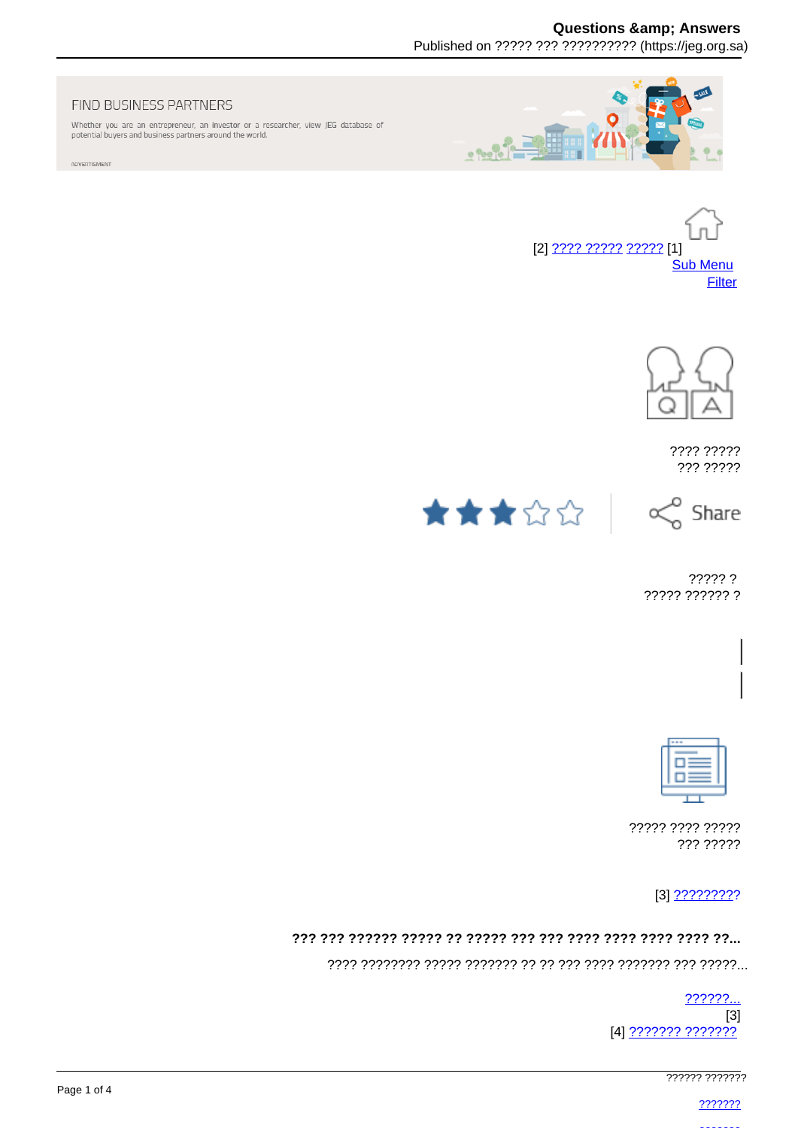Published on ????? ??? ?????????? (https://jeg.org.sa)



Whether you are an entrepreneur, an investor or a researcher, view JEG database of potential buyers and business partners around the world.

ADVERTISMENT







???? ????? ??? ?????





????? ? ????? ?????? ?



????? ???? ????? ??? ?????

## 

 $??????...$  $[3]$ [4] ??????? ???????

777777 7777777

2222222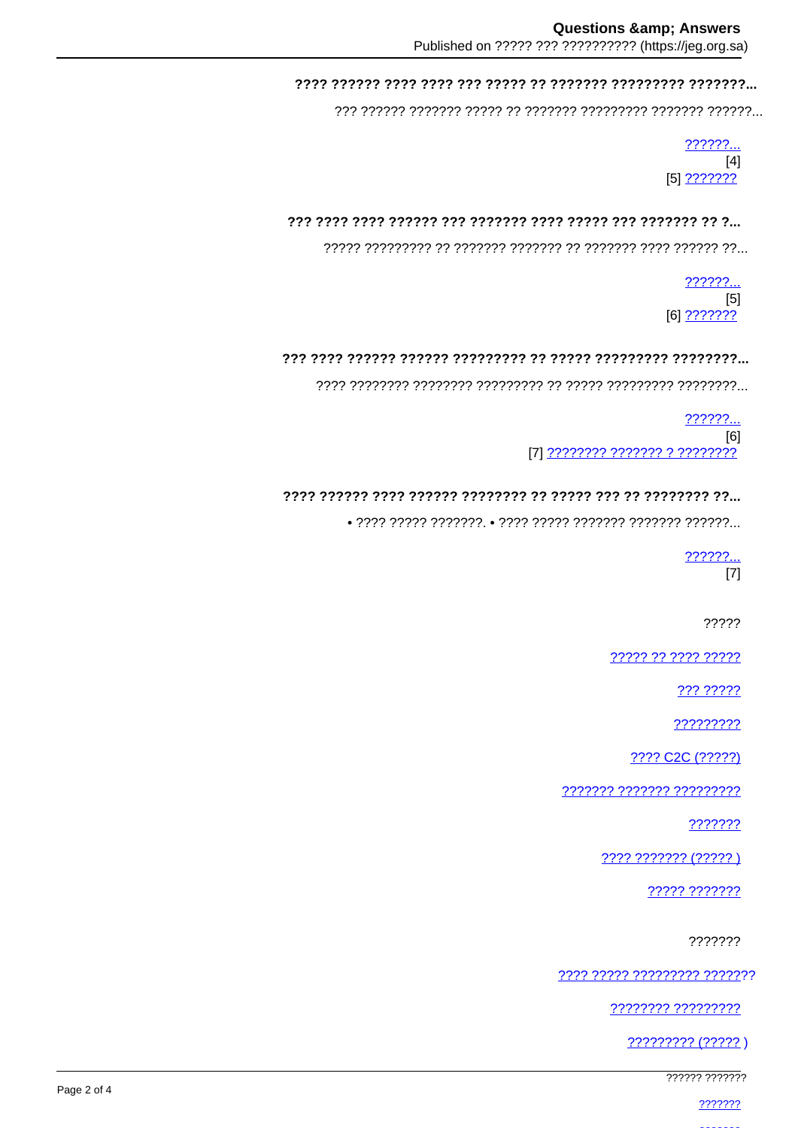# 

??????.  $[4]$  $[5]$  ???????

# 

 $22222...$  $[5]$  $[6]$  ???????

## 

 $??????...$  $[6]$ 171 ???????? ??????? ? ????????

# 

 $\bullet$  ???? ????? ???????.  $\bullet$  ???? ????? ??????? ??????? ??????...

222222

 $[7]$ 

?????

????? ?? ???? ?????

??? ?????

?????????

???? C2C (?????)

??????? ??????? ?????????

???????

???? ??????? (?????)

????? ???????

???????

<u> ???? ????? ????????? ???????</u>

???????? ?????????

????????? (?????)

777777 777777

2222222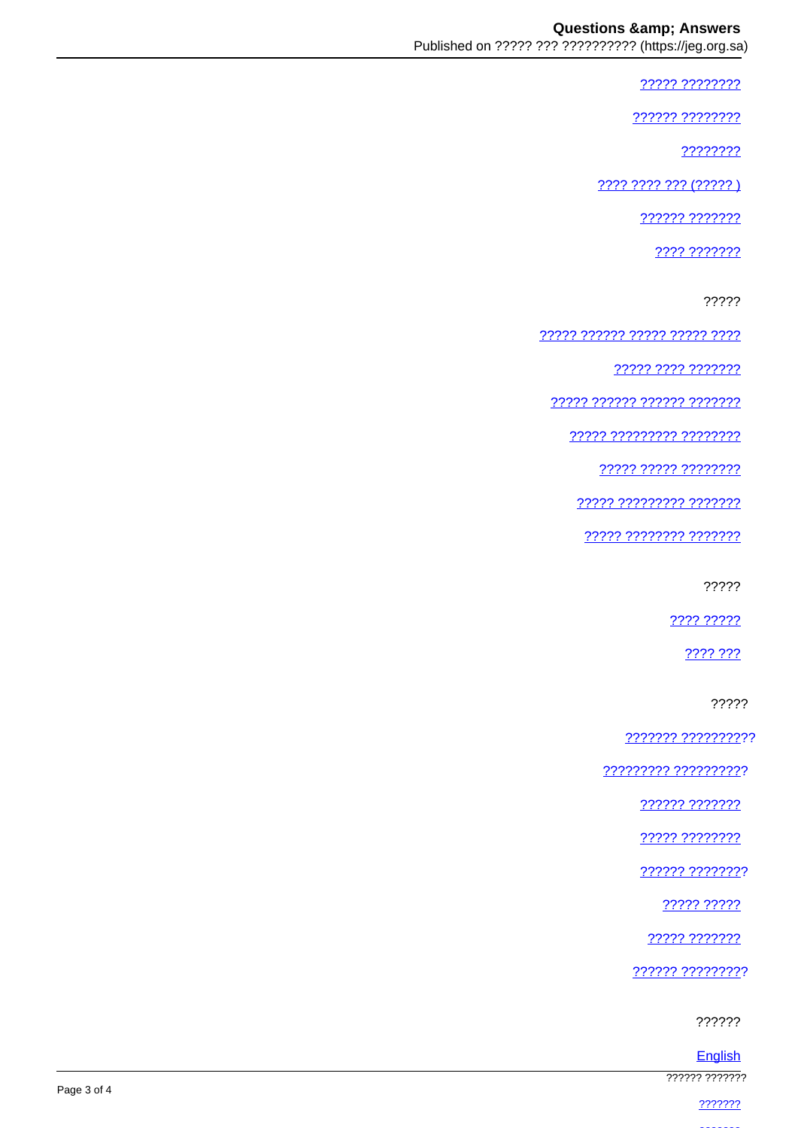????? ????????

222222 22222222

????????

???? ???? ??? (????? )

222222 2222222

???? ???????

?????

????? ?????? ????? ????? ????

77777 7777 7777777

77777 777777 777777 7777777

77777 777777777 77777777

????? ????? ????????

77777 777777777 7777777

????? ???????? ???????

?????

???? ?????

???? ???

?????

??????? ??????????

????????? ??????????

?????? ???????

????? ????????

?????? ????????

????? ?????

22222 2222222

?????? ?????????

??????

English

777777 7777777

2222222